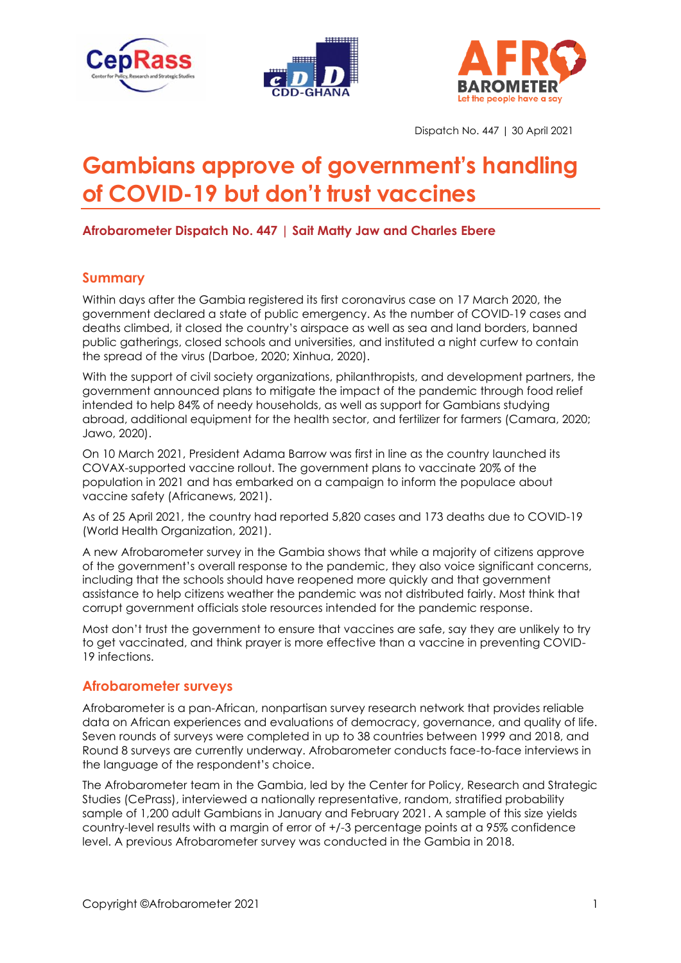





Dispatch No. 447 | 30 April 2021

# **Gambians approve of government's handling of COVID-19 but don't trust vaccines**

# **Afrobarometer Dispatch No. 447 | Sait Matty Jaw and Charles Ebere**

# **Summary**

Within days after the Gambia registered its first coronavirus case on 17 March 2020, the government declared a state of public emergency. As the number of COVID-19 cases and deaths climbed, it closed the country's airspace as well as sea and land borders, banned public gatherings, closed schools and universities, and instituted a night curfew to contain the spread of the virus (Darboe, 2020; Xinhua, 2020).

With the support of civil society organizations, philanthropists, and development partners, the government announced plans to mitigate the impact of the pandemic through food relief intended to help 84% of needy households, as well as support for Gambians studying abroad, additional equipment for the health sector, and fertilizer for farmers (Camara, 2020; Jawo, 2020).

On 10 March 2021, President Adama Barrow was first in line as the country launched its COVAX-supported vaccine rollout. The government plans to vaccinate 20% of the population in 2021 and has embarked on a campaign to inform the populace about vaccine safety (Africanews, 2021).

As of 25 April 2021, the country had reported 5,820 cases and 173 deaths due to COVID-19 (World Health Organization, 2021).

A new Afrobarometer survey in the Gambia shows that while a majority of citizens approve of the government's overall response to the pandemic, they also voice significant concerns, including that the schools should have reopened more quickly and that government assistance to help citizens weather the pandemic was not distributed fairly. Most think that corrupt government officials stole resources intended for the pandemic response.

Most don't trust the government to ensure that vaccines are safe, say they are unlikely to try to get vaccinated, and think prayer is more effective than a vaccine in preventing COVID-19 infections.

## **Afrobarometer surveys**

Afrobarometer is a pan-African, nonpartisan survey research network that provides reliable data on African experiences and evaluations of democracy, governance, and quality of life. Seven rounds of surveys were completed in up to 38 countries between 1999 and 2018, and Round 8 surveys are currently underway. Afrobarometer conducts face-to-face interviews in the language of the respondent's choice.

The Afrobarometer team in the Gambia, led by the Center for Policy, Research and Strategic Studies (CePrass), interviewed a nationally representative, random, stratified probability sample of 1,200 adult Gambians in January and February 2021. A sample of this size yields country-level results with a margin of error of +/-3 percentage points at a 95% confidence level. A previous Afrobarometer survey was conducted in the Gambia in 2018.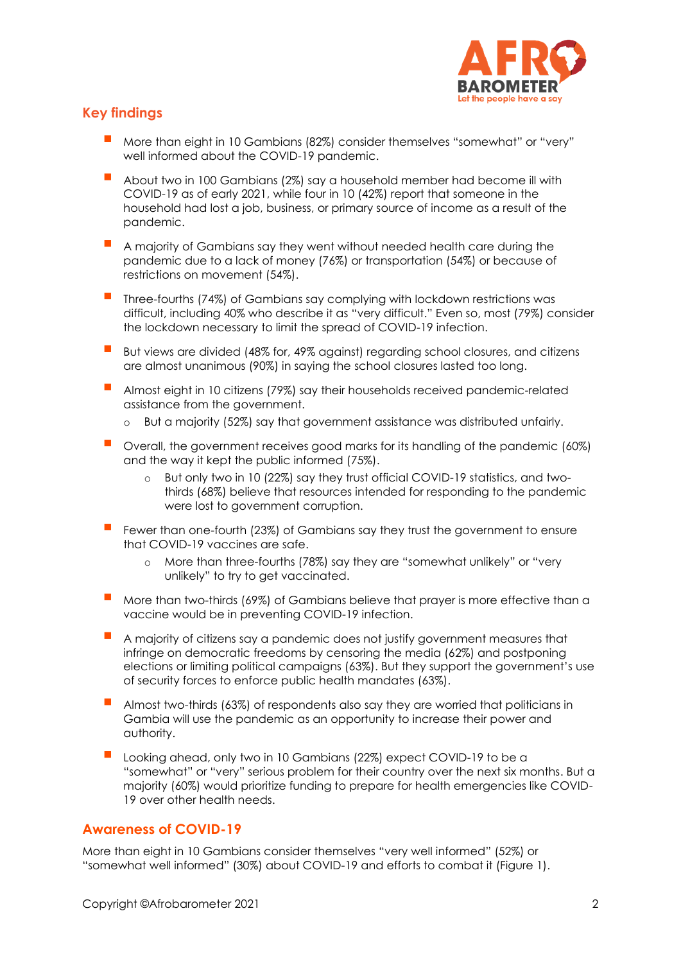

# **Key findings**

- More than eight in 10 Gambians (82%) consider themselves "somewhat" or "very" well informed about the COVID-19 pandemic.
- About two in 100 Gambians (2%) say a household member had become ill with COVID-19 as of early 2021, while four in 10 (42%) report that someone in the household had lost a job, business, or primary source of income as a result of the pandemic.
- A majority of Gambians say they went without needed health care during the pandemic due to a lack of money (76%) or transportation (54%) or because of restrictions on movement (54%).
- Three-fourths (74%) of Gambians say complying with lockdown restrictions was difficult, including 40% who describe it as "very difficult." Even so, most (79%) consider the lockdown necessary to limit the spread of COVID-19 infection.
- But views are divided (48% for, 49% against) regarding school closures, and citizens are almost unanimous (90%) in saying the school closures lasted too long.
- Almost eight in 10 citizens (79%) say their households received pandemic-related assistance from the government.
	- o But a majority (52%) say that government assistance was distributed unfairly.
- Overall, the government receives good marks for its handling of the pandemic (60%) and the way it kept the public informed (75%).
	- But only two in 10 (22%) say they trust official COVID-19 statistics, and twothirds (68%) believe that resources intended for responding to the pandemic were lost to government corruption.
- Fewer than one-fourth (23%) of Gambians say they trust the government to ensure that COVID-19 vaccines are safe.
	- o More than three-fourths (78%) say they are "somewhat unlikely" or "very unlikely" to try to get vaccinated.
- More than two-thirds (69%) of Gambians believe that prayer is more effective than a vaccine would be in preventing COVID-19 infection.
- A majority of citizens say a pandemic does not justify government measures that infringe on democratic freedoms by censoring the media (62%) and postponing elections or limiting political campaigns (63%). But they support the government's use of security forces to enforce public health mandates (63%).
- Almost two-thirds (63%) of respondents also say they are worried that politicians in Gambia will use the pandemic as an opportunity to increase their power and authority.
- Looking ahead, only two in 10 Gambians (22%) expect COVID-19 to be a "somewhat" or "very" serious problem for their country over the next six months. But a majority (60%) would prioritize funding to prepare for health emergencies like COVID-19 over other health needs.

## **Awareness of COVID-19**

More than eight in 10 Gambians consider themselves "very well informed" (52%) or "somewhat well informed" (30%) about COVID-19 and efforts to combat it (Figure 1).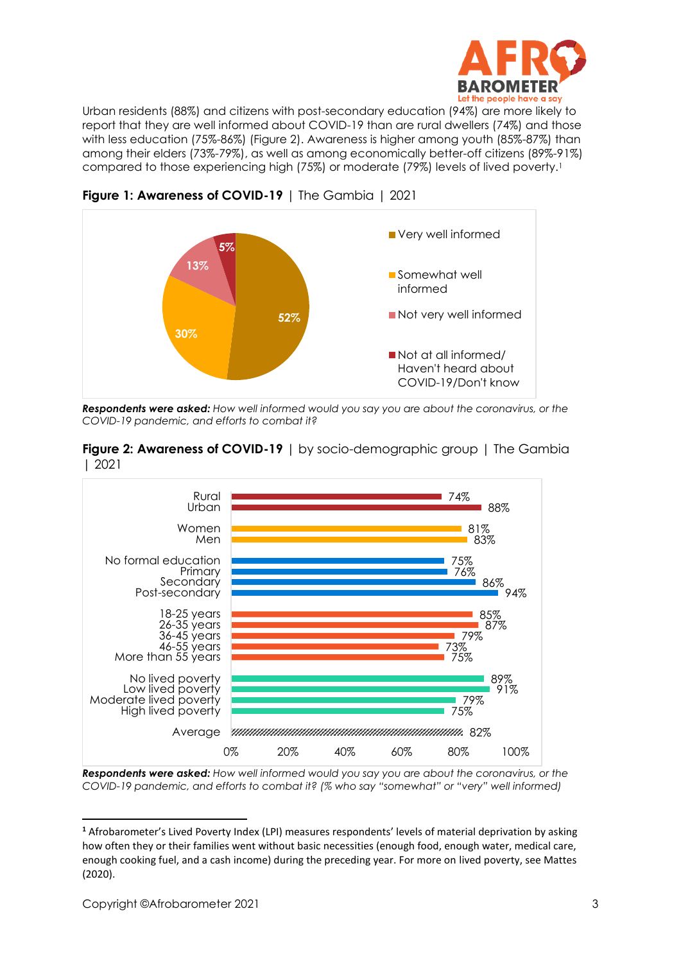

Urban residents (88%) and citizens with post-secondary education (94%) are more likely to report that they are well informed about COVID-19 than are rural dwellers (74%) and those with less education (75%-86%) (Figure 2). Awareness is higher among youth (85%-87%) than among their elders (73%-79%), as well as among economically better-off citizens (89%-91%) compared to those experiencing high (75%) or moderate (79%) levels of lived poverty.<sup>1</sup>



**Figure 1: Awareness of COVID-19** | The Gambia | 2021

*Respondents were asked: How well informed would you say you are about the coronavirus, or the COVID-19 pandemic, and efforts to combat it?*

| Figure 2: Awareness of COVID-19   by socio-demographic group   The Gambia |  |
|---------------------------------------------------------------------------|--|
| 2021                                                                      |  |



*Respondents were asked: How well informed would you say you are about the coronavirus, or the COVID-19 pandemic, and efforts to combat it? (% who say "somewhat" or "very" well informed)*

**<sup>1</sup>** Afrobarometer's Lived Poverty Index (LPI) measures respondents' levels of material deprivation by asking how often they or their families went without basic necessities (enough food, enough water, medical care, enough cooking fuel, and a cash income) during the preceding year. For more on lived poverty, see Mattes (2020).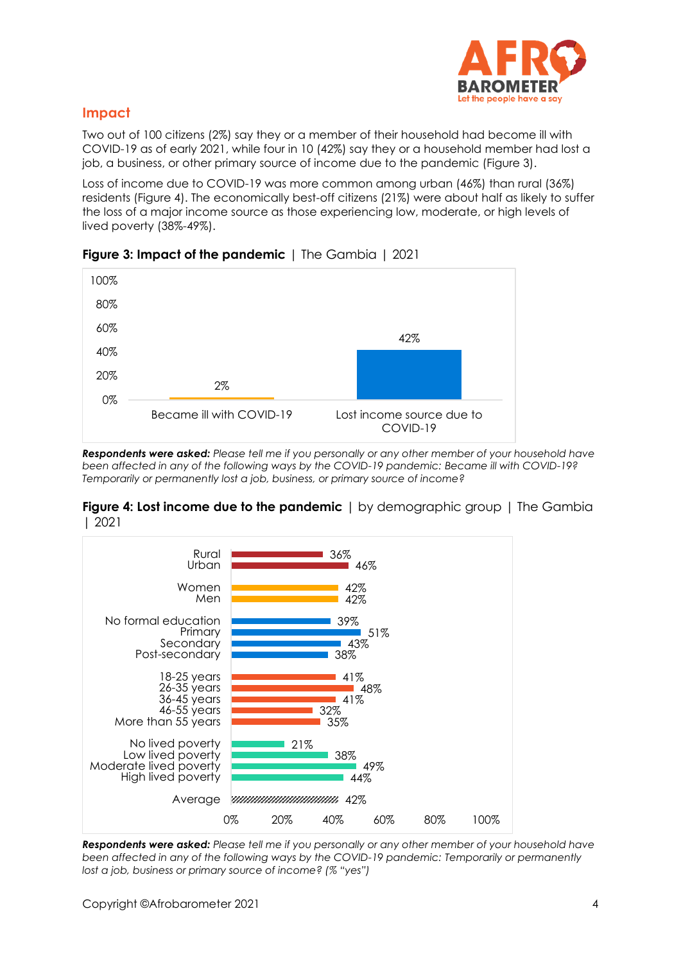

# **Impact**

Two out of 100 citizens (2%) say they or a member of their household had become ill with COVID-19 as of early 2021, while four in 10 (42%) say they or a household member had lost a job, a business, or other primary source of income due to the pandemic (Figure 3).

Loss of income due to COVID-19 was more common among urban (46%) than rural (36%) residents (Figure 4). The economically best-off citizens (21%) were about half as likely to suffer the loss of a major income source as those experiencing low, moderate, or high levels of lived poverty (38%-49%).



## **Figure 3: Impact of the pandemic** | The Gambia | 2021

*Respondents were asked: Please tell me if you personally or any other member of your household have been affected in any of the following ways by the COVID-19 pandemic: Became ill with COVID-19? Temporarily or permanently lost a job, business, or primary source of income?*





*Respondents were asked: Please tell me if you personally or any other member of your household have been affected in any of the following ways by the COVID-19 pandemic: Temporarily or permanently lost a job, business or primary source of income? (% "yes")*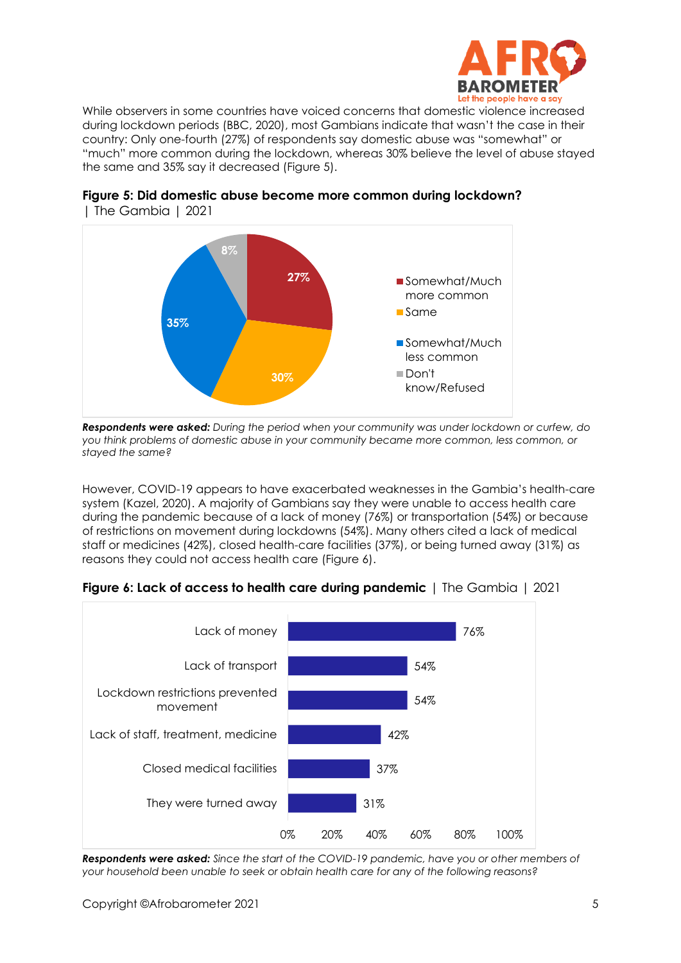

While observers in some countries have voiced concerns that domestic violence increased during lockdown periods (BBC, 2020), most Gambians indicate that wasn't the case in their country: Only one-fourth (27%) of respondents say domestic abuse was "somewhat" or "much" more common during the lockdown, whereas 30% believe the level of abuse stayed the same and 35% say it decreased (Figure 5).



#### **Figure 5: Did domestic abuse become more common during lockdown?**  | The Gambia | 2021

*Respondents were asked: During the period when your community was under lockdown or curfew, do you think problems of domestic abuse in your community became more common, less common, or stayed the same?* 

However, COVID-19 appears to have exacerbated weaknesses in the Gambia's health-care system (Kazel, 2020). A majority of Gambians say they were unable to access health care during the pandemic because of a lack of money (76%) or transportation (54%) or because of restrictions on movement during lockdowns (54%). Many others cited a lack of medical staff or medicines (42%), closed health-care facilities (37%), or being turned away (31%) as reasons they could not access health care (Figure 6).



## **Figure 6: Lack of access to health care during pandemic** | The Gambia | 2021

*Respondents were asked: Since the start of the COVID-19 pandemic, have you or other members of your household been unable to seek or obtain health care for any of the following reasons?*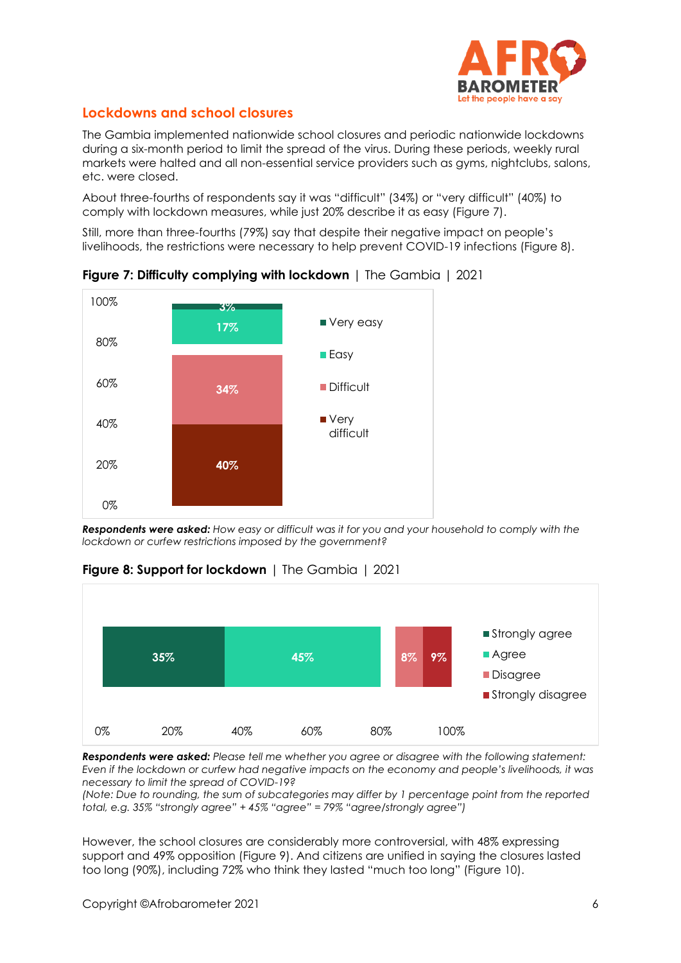

# **Lockdowns and school closures**

The Gambia implemented nationwide school closures and periodic nationwide lockdowns during a six-month period to limit the spread of the virus. During these periods, weekly rural markets were halted and all non-essential service providers such as gyms, nightclubs, salons, etc. were closed.

About three-fourths of respondents say it was "difficult" (34%) or "very difficult" (40%) to comply with lockdown measures, while just 20% describe it as easy (Figure 7).

Still, more than three-fourths (79%) say that despite their negative impact on people's livelihoods, the restrictions were necessary to help prevent COVID-19 infections (Figure 8).



**Figure 7: Difficulty complying with lockdown** | The Gambia | 2021

*Respondents were asked: How easy or difficult was it for you and your household to comply with the lockdown or curfew restrictions imposed by the government?*



**Figure 8: Support for lockdown** | The Gambia | 2021

*Respondents were asked: Please tell me whether you agree or disagree with the following statement: Even if the lockdown or curfew had negative impacts on the economy and people's livelihoods, it was necessary to limit the spread of COVID-19?*

*(Note: Due to rounding, the sum of subcategories may differ by 1 percentage point from the reported total, e.g. 35% "strongly agree" + 45% "agree" = 79% "agree/strongly agree")*

However, the school closures are considerably more controversial, with 48% expressing support and 49% opposition (Figure 9). And citizens are unified in saying the closures lasted too long (90%), including 72% who think they lasted "much too long" (Figure 10).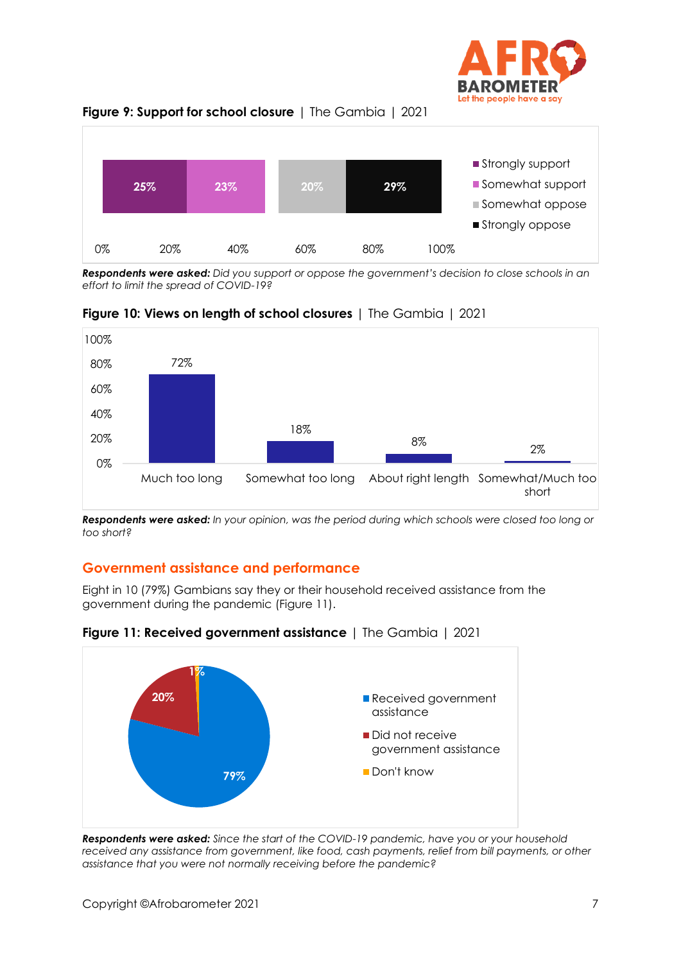





*Respondents were asked: Did you support or oppose the government's decision to close schools in an effort to limit the spread of COVID-19?*



**Figure 10: Views on length of school closures** | The Gambia | 2021

*Respondents were asked: In your opinion, was the period during which schools were closed too long or too short?*

# **Government assistance and performance**

Eight in 10 (79%) Gambians say they or their household received assistance from the government during the pandemic (Figure 11).



**Figure 11: Received government assistance** | The Gambia | 2021

*Respondents were asked: Since the start of the COVID-19 pandemic, have you or your household*  received any assistance from government, like food, cash payments, relief from bill payments, or other *assistance that you were not normally receiving before the pandemic?*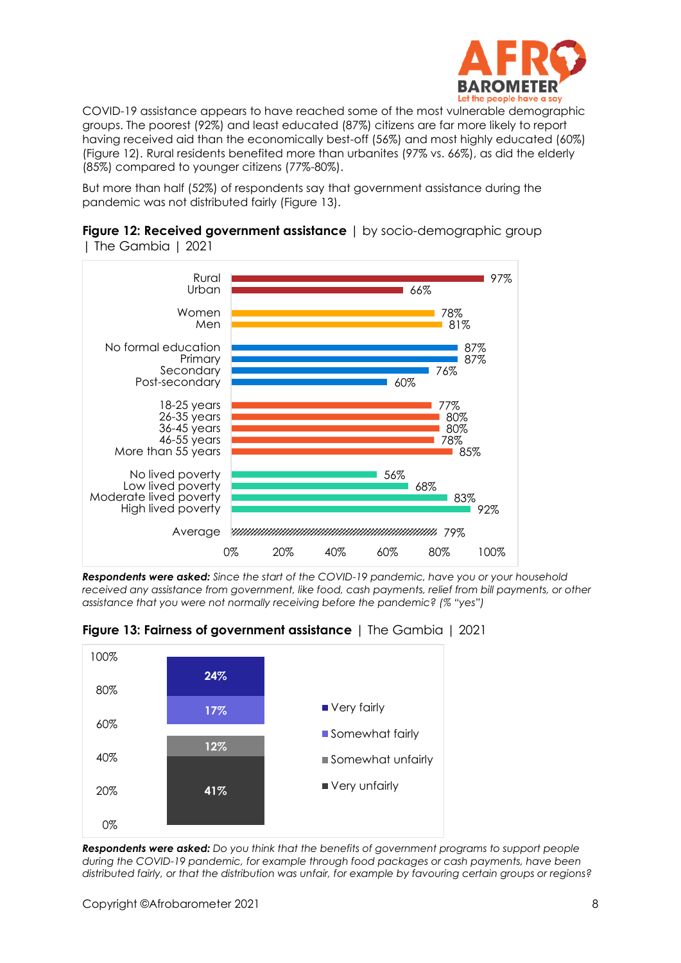

COVID-19 assistance appears to have reached some of the most vulnerable demographic groups. The poorest (92%) and least educated (87%) citizens are far more likely to report having received aid than the economically best-off (56%) and most highly educated (60%) (Figure 12). Rural residents benefited more than urbanites (97% vs. 66%), as did the elderly (85%) compared to younger citizens (77%-80%).

But more than half (52%) of respondents say that government assistance during the pandemic was not distributed fairly (Figure 13).





*Respondents were asked: Since the start of the COVID-19 pandemic, have you or your household received any assistance from government, like food, cash payments, relief from bill payments, or other assistance that you were not normally receiving before the pandemic? (% "yes")*

**Figure 13: Fairness of government assistance** | The Gambia | 2021



*Respondents were asked: Do you think that the benefits of government programs to support people during the COVID-19 pandemic, for example through food packages or cash payments, have been distributed fairly, or that the distribution was unfair, for example by favouring certain groups or regions?*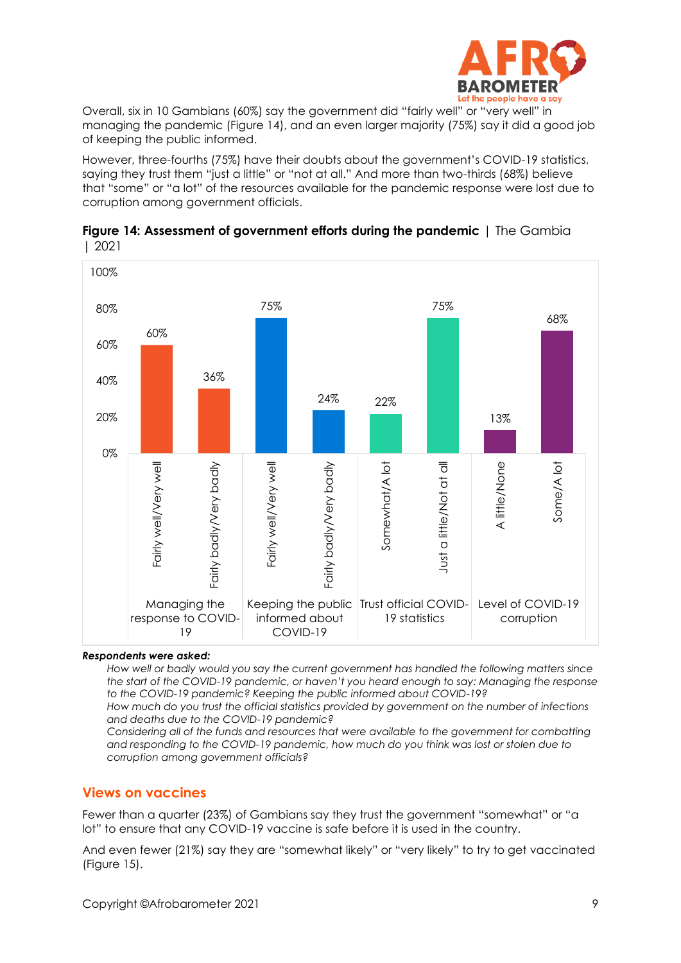

Overall, six in 10 Gambians (60%) say the government did "fairly well" or "very well" in managing the pandemic (Figure 14), and an even larger majority (75%) say it did a good job of keeping the public informed.

However, three-fourths (75%) have their doubts about the government's COVID-19 statistics, saying they trust them "just a little" or "not at all." And more than two-thirds (68%) believe that "some" or "a lot" of the resources available for the pandemic response were lost due to corruption among government officials.





#### *Respondents were asked:*

*How well or badly would you say the current government has handled the following matters since the start of the COVID-19 pandemic, or haven't you heard enough to say: Managing the response to the COVID-19 pandemic? Keeping the public informed about COVID-19?*

*How much do you trust the official statistics provided by government on the number of infections and deaths due to the COVID-19 pandemic?*

*Considering all of the funds and resources that were available to the government for combatting and responding to the COVID-19 pandemic, how much do you think was lost or stolen due to corruption among government officials?*

#### **Views on vaccines**

Fewer than a quarter (23%) of Gambians say they trust the government "somewhat" or "a lot" to ensure that any COVID-19 vaccine is safe before it is used in the country.

And even fewer (21%) say they are "somewhat likely" or "very likely" to try to get vaccinated (Figure 15).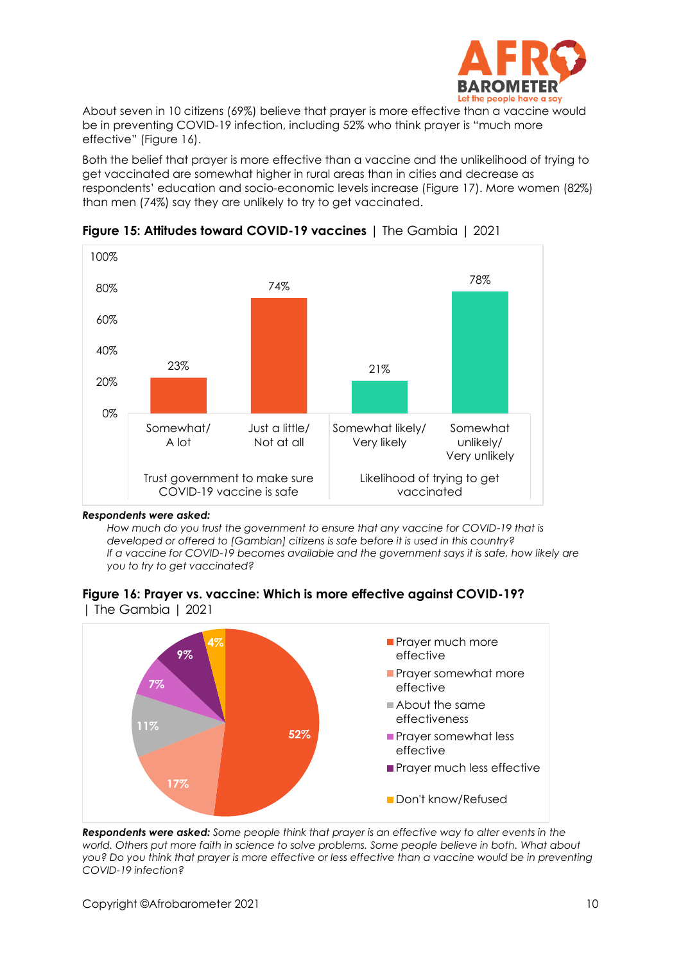

About seven in 10 citizens (69%) believe that prayer is more effective than a vaccine would be in preventing COVID-19 infection, including 52% who think prayer is "much more effective" (Figure 16).

Both the belief that prayer is more effective than a vaccine and the unlikelihood of trying to get vaccinated are somewhat higher in rural areas than in cities and decrease as respondents' education and socio-economic levels increase (Figure 17). More women (82%) than men (74%) say they are unlikely to try to get vaccinated.



**Figure 15: Attitudes toward COVID-19 vaccines** | The Gambia | 2021

#### *Respondents were asked:*

*How much do you trust the government to ensure that any vaccine for COVID-19 that is developed or offered to [Gambian] citizens is safe before it is used in this country? If a vaccine for COVID-19 becomes available and the government says it is safe, how likely are you to try to get vaccinated?*

**Figure 16: Prayer vs. vaccine: Which is more effective against COVID-19?**  | The Gambia | 2021



*Respondents were asked: Some people think that prayer is an effective way to alter events in the world. Others put more faith in science to solve problems. Some people believe in both. What about you? Do you think that prayer is more effective or less effective than a vaccine would be in preventing COVID-19 infection?*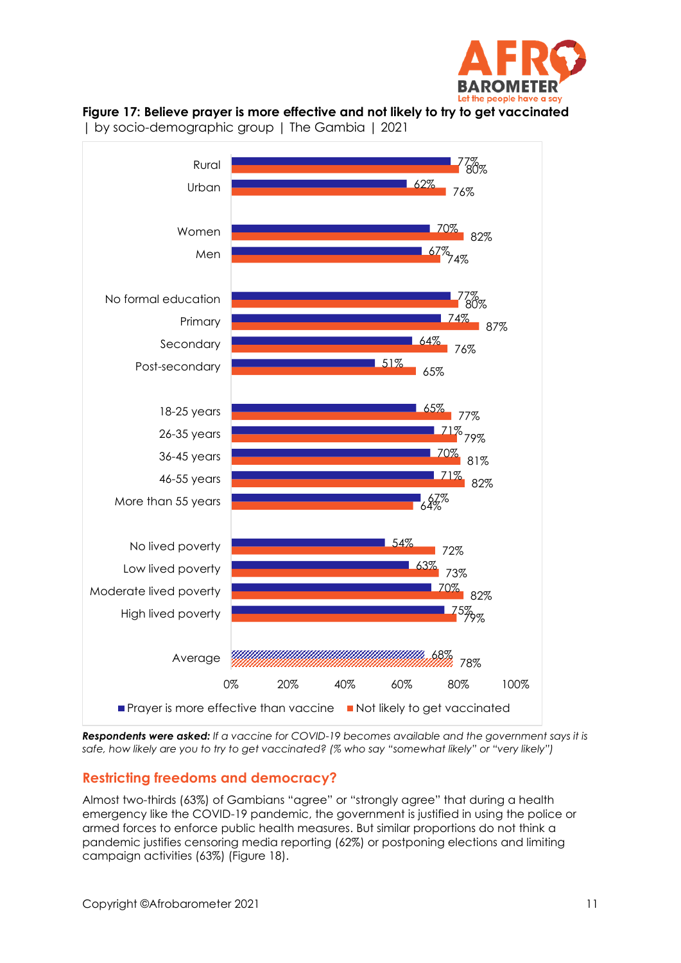





| by socio-demographic group | The Gambia | 2021

*Respondents were asked: If a vaccine for COVID-19 becomes available and the government says it is safe, how likely are you to try to get vaccinated? (% who say "somewhat likely" or "very likely")*

# **Restricting freedoms and democracy?**

Almost two-thirds (63%) of Gambians "agree" or "strongly agree" that during a health emergency like the COVID-19 pandemic, the government is justified in using the police or armed forces to enforce public health measures. But similar proportions do not think a pandemic justifies censoring media reporting (62%) or postponing elections and limiting campaign activities (63%) (Figure 18).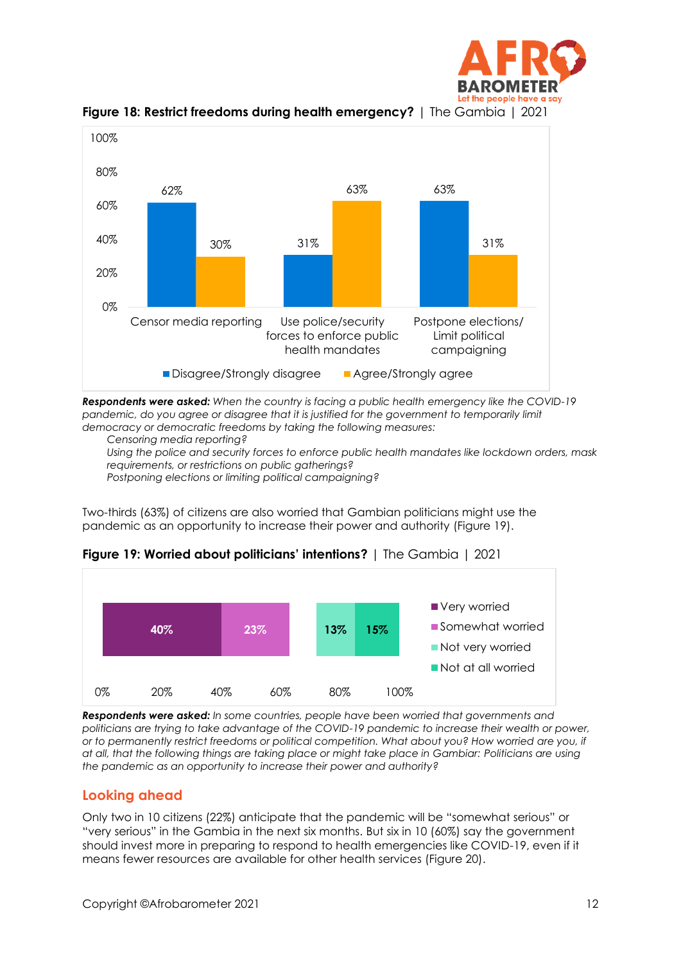



**Figure 18: Restrict freedoms during health emergency?** | The Gambia | 2021

*Respondents were asked: When the country is facing a public health emergency like the COVID-19*  pandemic, do you agree or disagree that it is justified for the government to temporarily limit *democracy or democratic freedoms by taking the following measures:*

*Censoring media reporting?*

*Using the police and security forces to enforce public health mandates like lockdown orders, mask requirements, or restrictions on public gatherings?*

*Postponing elections or limiting political campaigning?*

Two-thirds (63%) of citizens are also worried that Gambian politicians might use the pandemic as an opportunity to increase their power and authority (Figure 19).



**Figure 19: Worried about politicians' intentions?** | The Gambia | 2021

*Respondents were asked: In some countries, people have been worried that governments and politicians are trying to take advantage of the COVID-19 pandemic to increase their wealth or power, or to permanently restrict freedoms or political competition. What about you? How worried are you, if at all, that the following things are taking place or might take place in Gambiar: Politicians are using the pandemic as an opportunity to increase their power and authority?*

# **Looking ahead**

Only two in 10 citizens (22%) anticipate that the pandemic will be "somewhat serious" or "very serious" in the Gambia in the next six months. But six in 10 (60%) say the government should invest more in preparing to respond to health emergencies like COVID-19, even if it means fewer resources are available for other health services (Figure 20).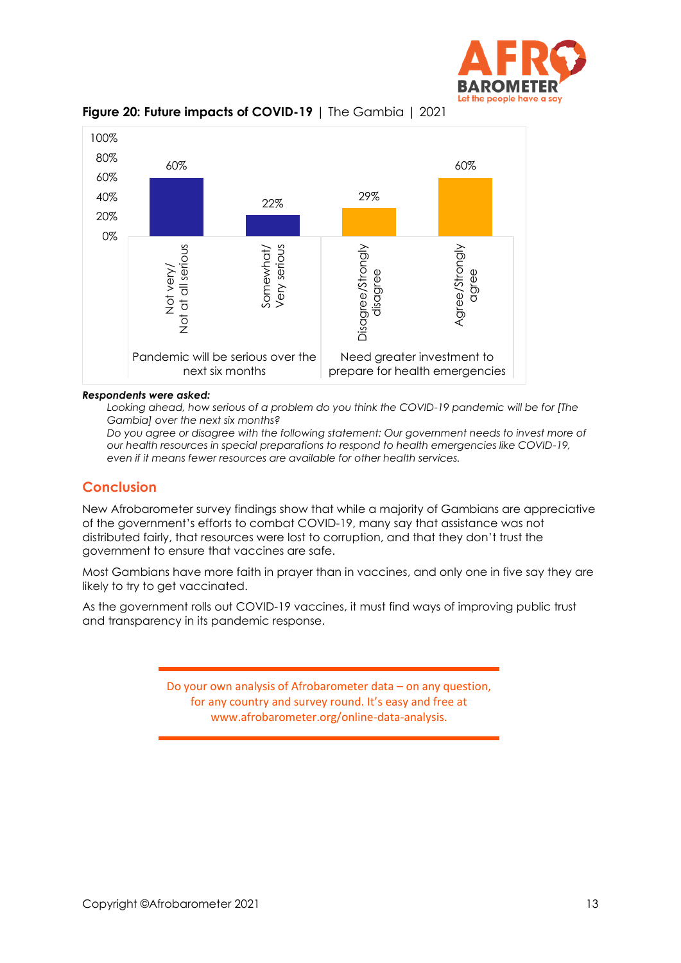



#### **Figure 20: Future impacts of COVID-19** | The Gambia | 2021

#### *Respondents were asked:*

Looking ahead, how serious of a problem do you think the COVID-19 pandemic will be for [The *Gambia] over the next six months?*

*Do you agree or disagree with the following statement: Our government needs to invest more of our health resources in special preparations to respond to health emergencies like COVID-19, even if it means fewer resources are available for other health services.*

#### **Conclusion**

New Afrobarometer survey findings show that while a majority of Gambians are appreciative of the government's efforts to combat COVID-19, many say that assistance was not distributed fairly, that resources were lost to corruption, and that they don't trust the government to ensure that vaccines are safe.

Most Gambians have more faith in prayer than in vaccines, and only one in five say they are likely to try to get vaccinated.

As the government rolls out COVID-19 vaccines, it must find ways of improving public trust and transparency in its pandemic response.

> Do your own analysis of Afrobarometer data – on any question, for any country and survey round. It's easy and free at www.afrobarometer.org/online-data-analysis.